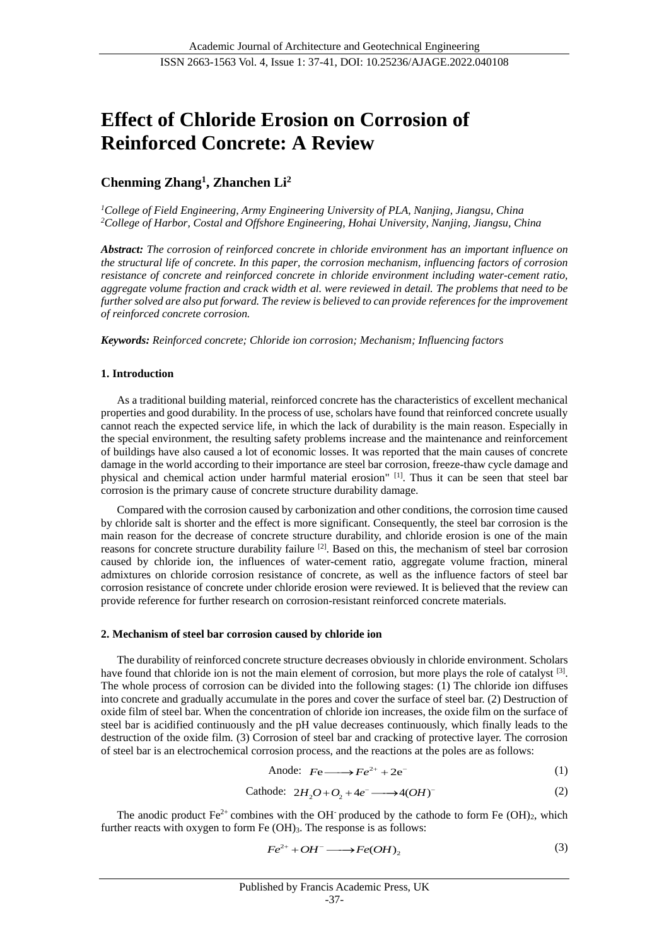# **Effect of Chloride Erosion on Corrosion of Reinforced Concrete: A Review**

# **Chenming Zhang<sup>1</sup> , Zhanchen Li<sup>2</sup>**

*<sup>1</sup>College of Field Engineering, Army Engineering University of PLA, Nanjing, Jiangsu, China <sup>2</sup>College of Harbor, Costal and Offshore Engineering, Hohai University, Nanjing, Jiangsu, China*

*Abstract: The corrosion of reinforced concrete in chloride environment has an important influence on the structural life of concrete. In this paper, the corrosion mechanism, influencing factors of corrosion resistance of concrete and reinforced concrete in chloride environment including water-cement ratio, aggregate volume fraction and crack width et al. were reviewed in detail. The problems that need to be further solved are also put forward. The review is believed to can provide references for the improvement of reinforced concrete corrosion.*

*Keywords: Reinforced concrete; Chloride ion corrosion; Mechanism; Influencing factors*

# **1. Introduction**

As a traditional building material, reinforced concrete has the characteristics of excellent mechanical properties and good durability. In the process of use, scholars have found that reinforced concrete usually cannot reach the expected service life, in which the lack of durability is the main reason. Especially in the special environment, the resulting safety problems increase and the maintenance and reinforcement of buildings have also caused a lot of economic losses. It was reported that the main causes of concrete damage in the world according to their importance are steel bar corrosion, freeze-thaw cycle damage and physical and chemical action under harmful material erosion" [1]. Thus it can be seen that steel bar corrosion is the primary cause of concrete structure durability damage.

Compared with the corrosion caused by carbonization and other conditions, the corrosion time caused by chloride salt is shorter and the effect is more significant. Consequently, the steel bar corrosion is the main reason for the decrease of concrete structure durability, and chloride erosion is one of the main reasons for concrete structure durability failure <sup>[2]</sup>. Based on this, the mechanism of steel bar corrosion caused by chloride ion, the influences of water-cement ratio, aggregate volume fraction, mineral admixtures on chloride corrosion resistance of concrete, as well as the influence factors of steel bar corrosion resistance of concrete under chloride erosion were reviewed. It is believed that the review can provide reference for further research on corrosion-resistant reinforced concrete materials.

#### **2. Mechanism of steel bar corrosion caused by chloride ion**

The durability of reinforced concrete structure decreases obviously in chloride environment. Scholars have found that chloride ion is not the main element of corrosion, but more plays the role of catalyst <sup>[3]</sup>. The whole process of corrosion can be divided into the following stages: (1) The chloride ion diffuses into concrete and gradually accumulate in the pores and cover the surface of steel bar. (2) Destruction of oxide film of steel bar. When the concentration of chloride ion increases, the oxide film on the surface of steel bar is acidified continuously and the pH value decreases continuously, which finally leads to the destruction of the oxide film. (3) Corrosion of steel bar and cracking of protective layer. The corrosion of steel bar is an electrochemical corrosion process, and the reactions at the poles are as follows:

$$
Anode: Fe \longrightarrow Fe^{2+} + 2e^-
$$
 (1)

Cathode: 
$$
2H_2O + O_2 + 4e^- \longrightarrow 4(OH)^-
$$
 (2)

The anodic product  $Fe^{2+}$  combines with the OH produced by the cathode to form Fe (OH)<sub>2</sub>, which further reacts with oxygen to form Fe  $(OH)_3$ . The response is as follows:

$$
Fe^{2+} + OH^- \longrightarrow Fe(OH)_2 \tag{3}
$$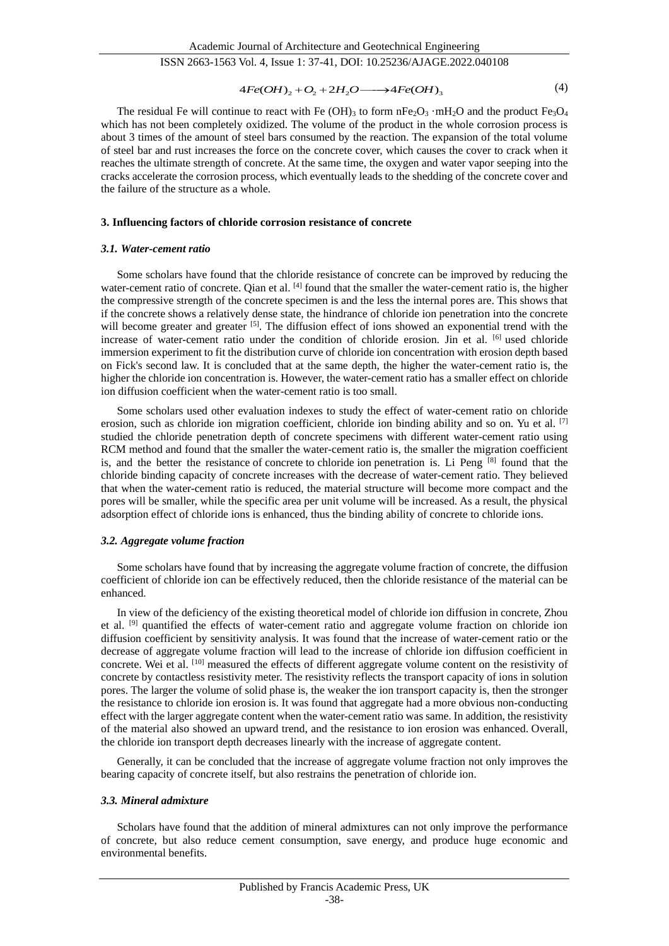$$
4Fe(OH)_2 + O_2 + 2H_2O \longrightarrow 4Fe(OH)_3
$$
\n<sup>(4)</sup>

The residual Fe will continue to react with Fe  $(OH)_3$  to form  $nFe_2O_3$   $mH_2O$  and the product Fe<sub>3</sub>O<sub>4</sub> which has not been completely oxidized. The volume of the product in the whole corrosion process is about 3 times of the amount of steel bars consumed by the reaction. The expansion of the total volume of steel bar and rust increases the force on the concrete cover, which causes the cover to crack when it reaches the ultimate strength of concrete. At the same time, the oxygen and water vapor seeping into the cracks accelerate the corrosion process, which eventually leads to the shedding of the concrete cover and the failure of the structure as a whole.

#### **3. Influencing factors of chloride corrosion resistance of concrete**

#### *3.1. Water-cement ratio*

Some scholars have found that the chloride resistance of concrete can be improved by reducing the water-cement ratio of concrete. Qian et al.  $^{[4]}$  found that the smaller the water-cement ratio is, the higher the compressive strength of the concrete specimen is and the less the internal pores are. This shows that if the concrete shows a relatively dense state, the hindrance of chloride ion penetration into the concrete will become greater and greater [5]. The diffusion effect of ions showed an exponential trend with the increase of water-cement ratio under the condition of chloride erosion. Jin et al. <sup>[6]</sup> used chloride immersion experiment to fit the distribution curve of chloride ion concentration with erosion depth based on Fick's second law. It is concluded that at the same depth, the higher the water-cement ratio is, the higher the chloride ion concentration is. However, the water-cement ratio has a smaller effect on chloride ion diffusion coefficient when the water-cement ratio is too small.

Some scholars used other evaluation indexes to study the effect of water-cement ratio on chloride erosion, such as chloride ion migration coefficient, chloride ion binding ability and so on. Yu et al. [7] studied the chloride penetration depth of concrete specimens with different water-cement ratio using RCM method and found that the smaller the water-cement ratio is, the smaller the migration coefficient is, and the better the resistance of concrete to chloride ion penetration is. Li Peng  $^{[8]}$  found that the chloride binding capacity of concrete increases with the decrease of water-cement ratio. They believed that when the water-cement ratio is reduced, the material structure will become more compact and the pores will be smaller, while the specific area per unit volume will be increased. As a result, the physical adsorption effect of chloride ions is enhanced, thus the binding ability of concrete to chloride ions.

#### *3.2. Aggregate volume fraction*

Some scholars have found that by increasing the aggregate volume fraction of concrete, the diffusion coefficient of chloride ion can be effectively reduced, then the chloride resistance of the material can be enhanced.

In view of the deficiency of the existing theoretical model of chloride ion diffusion in concrete, Zhou et al. <sup>[9]</sup> quantified the effects of water-cement ratio and aggregate volume fraction on chloride ion diffusion coefficient by sensitivity analysis. It was found that the increase of water-cement ratio or the decrease of aggregate volume fraction will lead to the increase of chloride ion diffusion coefficient in concrete. Wei et al. <sup>[10]</sup> measured the effects of different aggregate volume content on the resistivity of concrete by contactless resistivity meter. The resistivity reflects the transport capacity of ions in solution pores. The larger the volume of solid phase is, the weaker the ion transport capacity is, then the stronger the resistance to chloride ion erosion is. It was found that aggregate had a more obvious non-conducting effect with the larger aggregate content when the water-cement ratio was same. In addition, the resistivity of the material also showed an upward trend, and the resistance to ion erosion was enhanced. Overall, the chloride ion transport depth decreases linearly with the increase of aggregate content.

Generally, it can be concluded that the increase of aggregate volume fraction not only improves the bearing capacity of concrete itself, but also restrains the penetration of chloride ion.

#### *3.3. Mineral admixture*

Scholars have found that the addition of mineral admixtures can not only improve the performance of concrete, but also reduce cement consumption, save energy, and produce huge economic and environmental benefits.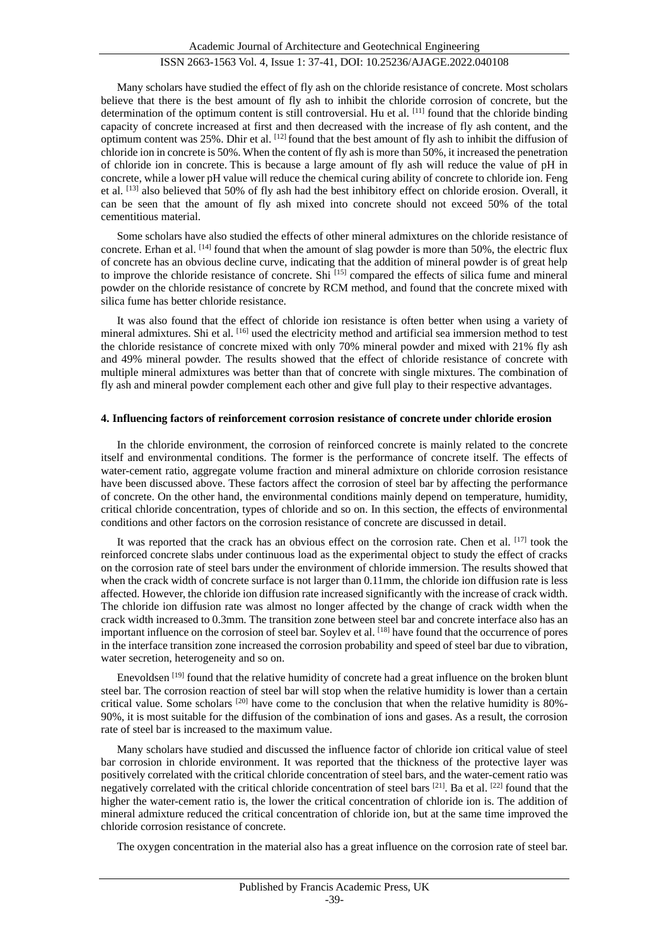Many scholars have studied the effect of fly ash on the chloride resistance of concrete. Most scholars believe that there is the best amount of fly ash to inhibit the chloride corrosion of concrete, but the determination of the optimum content is still controversial. Hu et al. [11] found that the chloride binding capacity of concrete increased at first and then decreased with the increase of fly ash content, and the optimum content was 25%. Dhir et al. [12] found that the best amount of fly ash to inhibit the diffusion of chloride ion in concrete is 50%. When the content of fly ash is more than 50%, it increased the penetration of chloride ion in concrete. This is because a large amount of fly ash will reduce the value of pH in concrete, while a lower pH value will reduce the chemical curing ability of concrete to chloride ion. Feng et al. [13] also believed that 50% of fly ash had the best inhibitory effect on chloride erosion. Overall, it can be seen that the amount of fly ash mixed into concrete should not exceed 50% of the total cementitious material.

Some scholars have also studied the effects of other mineral admixtures on the chloride resistance of concrete. Erhan et al.  $^{[14]}$  found that when the amount of slag powder is more than 50%, the electric flux of concrete has an obvious decline curve, indicating that the addition of mineral powder is of great help to improve the chloride resistance of concrete. Shi [15] compared the effects of silica fume and mineral powder on the chloride resistance of concrete by RCM method, and found that the concrete mixed with silica fume has better chloride resistance.

It was also found that the effect of chloride ion resistance is often better when using a variety of mineral admixtures. Shi et al. [16] used the electricity method and artificial sea immersion method to test the chloride resistance of concrete mixed with only 70% mineral powder and mixed with 21% fly ash and 49% mineral powder. The results showed that the effect of chloride resistance of concrete with multiple mineral admixtures was better than that of concrete with single mixtures. The combination of fly ash and mineral powder complement each other and give full play to their respective advantages.

## **4. Influencing factors of reinforcement corrosion resistance of concrete under chloride erosion**

In the chloride environment, the corrosion of reinforced concrete is mainly related to the concrete itself and environmental conditions. The former is the performance of concrete itself. The effects of water-cement ratio, aggregate volume fraction and mineral admixture on chloride corrosion resistance have been discussed above. These factors affect the corrosion of steel bar by affecting the performance of concrete. On the other hand, the environmental conditions mainly depend on temperature, humidity, critical chloride concentration, types of chloride and so on. In this section, the effects of environmental conditions and other factors on the corrosion resistance of concrete are discussed in detail.

It was reported that the crack has an obvious effect on the corrosion rate. Chen et al.  $[17]$  took the reinforced concrete slabs under continuous load as the experimental object to study the effect of cracks on the corrosion rate of steel bars under the environment of chloride immersion. The results showed that when the crack width of concrete surface is not larger than 0.11mm, the chloride ion diffusion rate is less affected. However, the chloride ion diffusion rate increased significantly with the increase of crack width. The chloride ion diffusion rate was almost no longer affected by the change of crack width when the crack width increased to 0.3mm. The transition zone between steel bar and concrete interface also has an important influence on the corrosion of steel bar. Soylev et al. [18] have found that the occurrence of pores in the interface transition zone increased the corrosion probability and speed of steel bar due to vibration, water secretion, heterogeneity and so on.

Enevoldsen <sup>[19]</sup> found that the relative humidity of concrete had a great influence on the broken blunt steel bar. The corrosion reaction of steel bar will stop when the relative humidity is lower than a certain critical value. Some scholars [20] have come to the conclusion that when the relative humidity is 80%- 90%, it is most suitable for the diffusion of the combination of ions and gases. As a result, the corrosion rate of steel bar is increased to the maximum value.

Many scholars have studied and discussed the influence factor of chloride ion critical value of steel bar corrosion in chloride environment. It was reported that the thickness of the protective layer was positively correlated with the critical chloride concentration of steel bars, and the water-cement ratio was negatively correlated with the critical chloride concentration of steel bars  $[21]$ . Ba et al.  $[22]$  found that the higher the water-cement ratio is, the lower the critical concentration of chloride ion is. The addition of mineral admixture reduced the critical concentration of chloride ion, but at the same time improved the chloride corrosion resistance of concrete.

The oxygen concentration in the material also has a great influence on the corrosion rate of steel bar.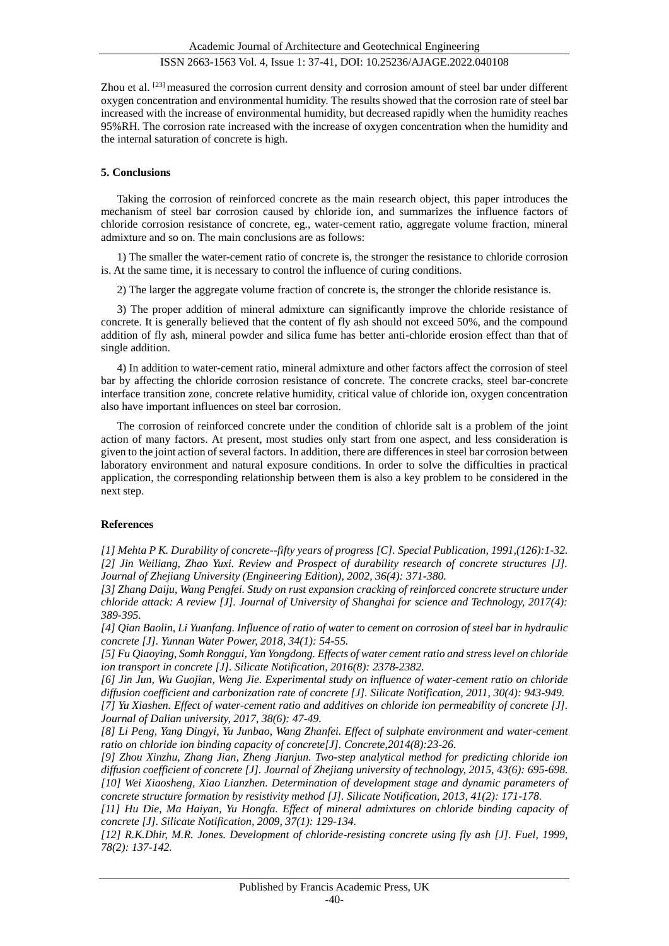Zhou et al. <sup>[23]</sup> measured the corrosion current density and corrosion amount of steel bar under different oxygen concentration and environmental humidity. The results showed that the corrosion rate of steel bar increased with the increase of environmental humidity, but decreased rapidly when the humidity reaches 95%RH. The corrosion rate increased with the increase of oxygen concentration when the humidity and the internal saturation of concrete is high.

## **5. Conclusions**

Taking the corrosion of reinforced concrete as the main research object, this paper introduces the mechanism of steel bar corrosion caused by chloride ion, and summarizes the influence factors of chloride corrosion resistance of concrete, eg., water-cement ratio, aggregate volume fraction, mineral admixture and so on. The main conclusions are as follows:

1) The smaller the water-cement ratio of concrete is, the stronger the resistance to chloride corrosion is. At the same time, it is necessary to control the influence of curing conditions.

2) The larger the aggregate volume fraction of concrete is, the stronger the chloride resistance is.

3) The proper addition of mineral admixture can significantly improve the chloride resistance of concrete. It is generally believed that the content of fly ash should not exceed 50%, and the compound addition of fly ash, mineral powder and silica fume has better anti-chloride erosion effect than that of single addition.

4) In addition to water-cement ratio, mineral admixture and other factors affect the corrosion of steel bar by affecting the chloride corrosion resistance of concrete. The concrete cracks, steel bar-concrete interface transition zone, concrete relative humidity, critical value of chloride ion, oxygen concentration also have important influences on steel bar corrosion.

The corrosion of reinforced concrete under the condition of chloride salt is a problem of the joint action of many factors. At present, most studies only start from one aspect, and less consideration is given to the joint action of several factors. In addition, there are differences in steel bar corrosion between laboratory environment and natural exposure conditions. In order to solve the difficulties in practical application, the corresponding relationship between them is also a key problem to be considered in the next step.

# **References**

*[1] Mehta P K. Durability of concrete--fifty years of progress [C]. Special Publication, 1991,(126):1-32. [2] Jin Weiliang, Zhao Yuxi. Review and Prospect of durability research of concrete structures [J]. Journal of Zhejiang University (Engineering Edition), 2002, 36(4): 371-380.*

*[3] Zhang Daiju, Wang Pengfei. Study on rust expansion cracking of reinforced concrete structure under chloride attack: A review [J]. Journal of University of Shanghai for science and Technology, 2017(4): 389-395.*

*[4] Qian Baolin, Li Yuanfang. Influence of ratio of water to cement on corrosion of steel bar in hydraulic concrete [J]. Yunnan Water Power, 2018, 34(1): 54-55.*

*[5] Fu Qiaoying, Somh Ronggui, Yan Yongdong. Effects of water cement ratio and stress level on chloride ion transport in concrete [J]. Silicate Notification, 2016(8): 2378-2382.*

*[6] Jin Jun, Wu Guojian, Weng Jie. Experimental study on influence of water-cement ratio on chloride diffusion coefficient and carbonization rate of concrete [J]. Silicate Notification, 2011, 30(4): 943-949. [7] Yu Xiashen. Effect of water-cement ratio and additives on chloride ion permeability of concrete [J]. Journal of Dalian university, 2017, 38(6): 47-49.*

*[8] Li Peng, Yang Dingyi, Yu Junbao, Wang Zhanfei. Effect of sulphate environment and water-cement ratio on chloride ion binding capacity of concrete[J]. Concrete,2014(8):23-26.*

*[9] Zhou Xinzhu, Zhang Jian, Zheng Jianjun. Two-step analytical method for predicting chloride ion diffusion coefficient of concrete [J]. Journal of Zhejiang university of technology, 2015, 43(6): 695-698. [10] Wei Xiaosheng, Xiao Lianzhen. Determination of development stage and dynamic parameters of concrete structure formation by resistivity method [J]. Silicate Notification, 2013, 41(2): 171-178.*

*[11] Hu Die, Ma Haiyan, Yu Hongfa. Effect of mineral admixtures on chloride binding capacity of concrete [J]. Silicate Notification, 2009, 37(1): 129-134.*

*[12] R.K.Dhir, M.R. Jones. Development of chloride-resisting concrete using fly ash [J]. Fuel, 1999, 78(2): 137-142.*